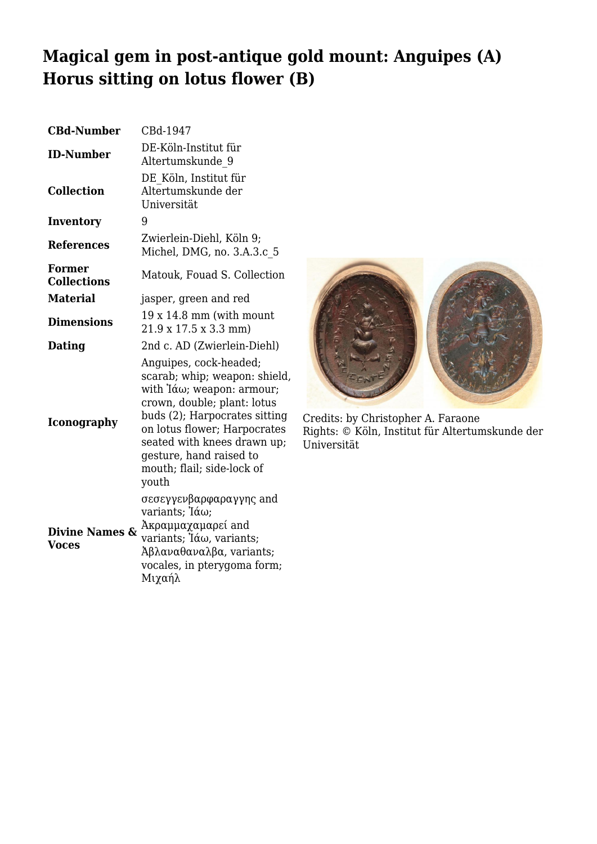## **Magical gem in post-antique gold mount: Anguipes (A) Horus sitting on lotus flower (B)**

| <b>CBd-Number</b>                         | CBd-1947                                                                                                                                                                                                                                                                                    |
|-------------------------------------------|---------------------------------------------------------------------------------------------------------------------------------------------------------------------------------------------------------------------------------------------------------------------------------------------|
| <b>ID-Number</b>                          | DE-Köln-Institut für<br>Altertumskunde 9                                                                                                                                                                                                                                                    |
| <b>Collection</b>                         | DE Köln, Institut für<br>Altertumskunde der<br>Universität                                                                                                                                                                                                                                  |
| Inventory                                 | 9                                                                                                                                                                                                                                                                                           |
| <b>References</b>                         | Zwierlein-Diehl, Köln 9;<br>Michel, DMG, no. 3.A.3.c 5                                                                                                                                                                                                                                      |
| <b>Former</b><br><b>Collections</b>       | Matouk, Fouad S. Collection                                                                                                                                                                                                                                                                 |
| <b>Material</b>                           | jasper, green and red                                                                                                                                                                                                                                                                       |
| <b>Dimensions</b>                         | $19x14.8$ mm (with mount<br>21.9 x 17.5 x 3.3 mm)                                                                                                                                                                                                                                           |
| Dating                                    | 2nd c. AD (Zwierlein-Diehl)                                                                                                                                                                                                                                                                 |
| <b>Iconography</b>                        | Anguipes, cock-headed;<br>scarab; whip; weapon: shield,<br>with $\alpha$ ; weapon: armour;<br>crown, double; plant: lotus<br>buds (2); Harpocrates sitting<br>on lotus flower; Harpocrates<br>seated with knees drawn up;<br>gesture, hand raised to<br>mouth; flail; side-lock of<br>youth |
| <b>Divine Names &amp;</b><br><b>Voces</b> | σεσεγγενβαρφαραγγης and<br>variants; Ἰάω;<br>Ακραμμαχαμαρεί and<br>variants; Iάω, variants;<br>$\lambda \beta \lambda \alpha \nu \alpha \theta \alpha \nu \alpha \lambda \beta \alpha$ , variants;<br>vocales, in pterygoma form;<br>Μιγαήλ                                                 |



Credits: by Christopher A. Faraone Rights: © Köln, Institut für Altertumskunde der Universität